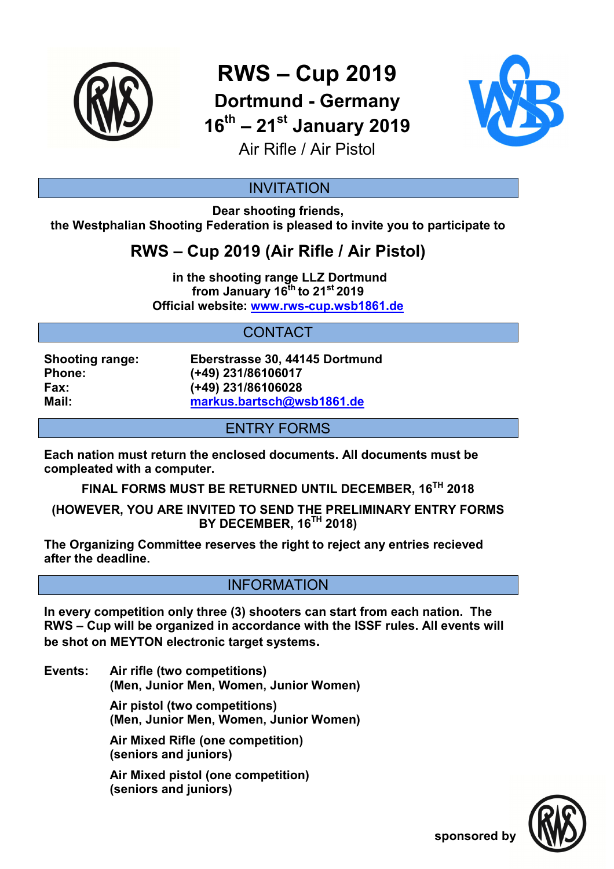

**RWS – Cup 2019** 

**Dortmund - Germany 16th – 21st January 2019**



Air Rifle / Air Pistol

### INVITATION

**Dear shooting friends, the Westphalian Shooting Federation is pleased to invite you to participate to** 

# **RWS – Cup 2019 (Air Rifle / Air Pistol)**

 **in the shooting range LLZ Dortmund from January 16th to 21st 2019 Official website: www.rws-cup.wsb1861.de** 

## CONTACT

**Shooting range: Eberstrasse 30, 44145 Dortmund Phone: (+49) 231/86106017 Fax: (+49) 231/86106028 Mail: markus.bartsch@wsb1861.de**

#### ENTRY FORMS

**Each nation must return the enclosed documents. All documents must be compleated with a computer.** 

**FINAL FORMS MUST BE RETURNED UNTIL DECEMBER, 16TH 2018** 

**(HOWEVER, YOU ARE INVITED TO SEND THE PRELIMINARY ENTRY FORMS BY DECEMBER, 16TH 2018)** 

**The Organizing Committee reserves the right to reject any entries recieved after the deadline.** 

#### INFORMATION

**In every competition only three (3) shooters can start from each nation. The RWS – Cup will be organized in accordance with the ISSF rules. All events will be shot on MEYTON electronic target systems.** 

**Events: Air rifle (two competitions) (Men, Junior Men, Women, Junior Women) Air pistol (two competitions)**

 **(Men, Junior Men, Women, Junior Women)** 

 **Air Mixed Rifle (one competition) (seniors and juniors)** 

 **Air Mixed pistol (one competition) (seniors and juniors)**